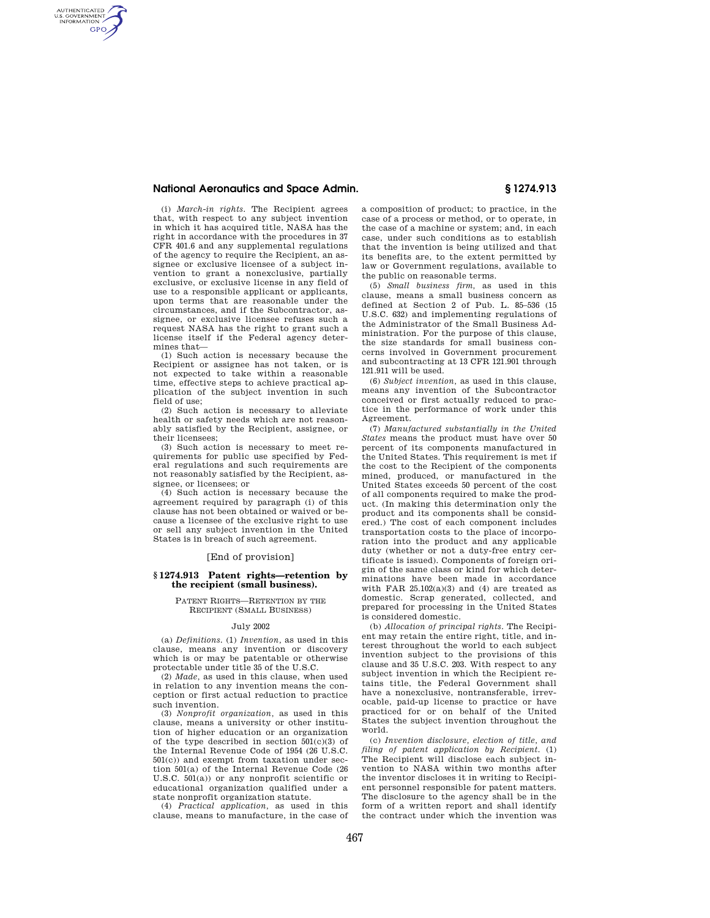# **National Aeronautics and Space Admin. § 1274.913**

AUTHENTICATED<br>U.S. GOVERNMENT<br>INFORMATION **GPO** 

(i) *March-in rights.* The Recipient agrees that, with respect to any subject invention in which it has acquired title, NASA has the right in accordance with the procedures in 37 CFR 401.6 and any supplemental regulations of the agency to require the Recipient, an assignee or exclusive licensee of a subject invention to grant a nonexclusive, partially exclusive, or exclusive license in any field of use to a responsible applicant or applicants, upon terms that are reasonable under the circumstances, and if the Subcontractor, assignee, or exclusive licensee refuses such a request NASA has the right to grant such a license itself if the Federal agency determines that—

(1) Such action is necessary because the Recipient or assignee has not taken, or is not expected to take within a reasonable time, effective steps to achieve practical application of the subject invention in such field of use;

(2) Such action is necessary to alleviate health or safety needs which are not reasonably satisfied by the Recipient, assignee, or their licensees;

(3) Such action is necessary to meet requirements for public use specified by Federal regulations and such requirements are not reasonably satisfied by the Recipient, assignee, or licensees; or

(4) Such action is necessary because the agreement required by paragraph (i) of this clause has not been obtained or waived or because a licensee of the exclusive right to use or sell any subject invention in the United States is in breach of such agreement.

## [End of provision]

# **§ 1274.913 Patent rights—retention by the recipient (small business).**

PATENT RIGHTS—RETENTION BY THE RECIPIENT (SMALL BUSINESS)

## July 2002

(a) *Definitions.* (1) *Invention,* as used in this clause, means any invention or discovery which is or may be patentable or otherwise protectable under title 35 of the U.S.C.

(2) *Made,* as used in this clause, when used in relation to any invention means the conception or first actual reduction to practice such invention.

(3) *Nonprofit organization,* as used in this clause, means a university or other institution of higher education or an organization of the type described in section  $501(c)(3)$  of the Internal Revenue Code of 1954 (26 U.S.C. 501(c)) and exempt from taxation under section 501(a) of the Internal Revenue Code (26 U.S.C. 501(a)) or any nonprofit scientific or educational organization qualified under a state nonprofit organization statute.

(4) *Practical application,* as used in this clause, means to manufacture, in the case of a composition of product; to practice, in the case of a process or method, or to operate, in the case of a machine or system; and, in each case, under such conditions as to establish that the invention is being utilized and that its benefits are, to the extent permitted by law or Government regulations, available to the public on reasonable terms.

(5) *Small business firm,* as used in this clause, means a small business concern as defined at Section 2 of Pub. L. 85–536 (15 U.S.C. 632) and implementing regulations of the Administrator of the Small Business Administration. For the purpose of this clause, the size standards for small business concerns involved in Government procurement and subcontracting at 13 CFR 121.901 through 121.911 will be used.

(6) *Subject invention,* as used in this clause, means any invention of the Subcontractor conceived or first actually reduced to practice in the performance of work under this Agreement.

(7) *Manufactured substantially in the United States* means the product must have over 50 percent of its components manufactured in the United States. This requirement is met if the cost to the Recipient of the components mined, produced, or manufactured in the United States exceeds 50 percent of the cost of all components required to make the product. (In making this determination only the product and its components shall be considered.) The cost of each component includes transportation costs to the place of incorporation into the product and any applicable duty (whether or not a duty-free entry certificate is issued). Components of foreign origin of the same class or kind for which determinations have been made in accordance with FAR  $25.102(a)(3)$  and (4) are treated as domestic. Scrap generated, collected, and prepared for processing in the United States is considered domestic.

(b) *Allocation of principal rights.* The Recipient may retain the entire right, title, and interest throughout the world to each subject invention subject to the provisions of this clause and 35 U.S.C. 203. With respect to any subject invention in which the Recipient retains title, the Federal Government shall have a nonexclusive, nontransferable, irrevocable, paid-up license to practice or have practiced for or on behalf of the United States the subject invention throughout the world.

(c) *Invention disclosure, election of title, and filing of patent application by Recipient.* (1) The Recipient will disclose each subject invention to NASA within two months after the inventor discloses it in writing to Recipient personnel responsible for patent matters. The disclosure to the agency shall be in the form of a written report and shall identify the contract under which the invention was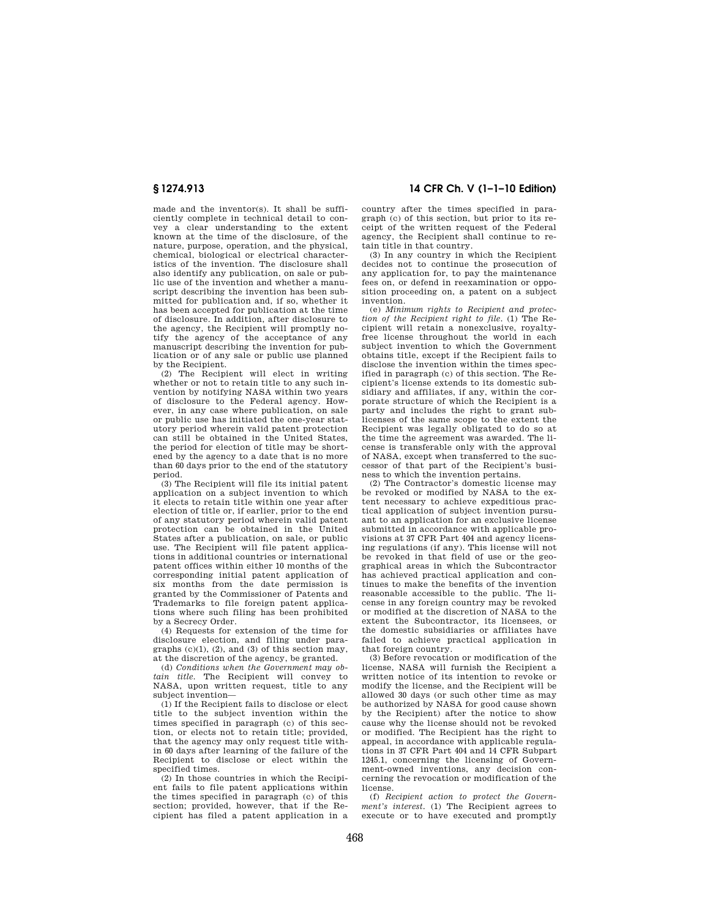made and the inventor(s). It shall be sufficiently complete in technical detail to convey a clear understanding to the extent known at the time of the disclosure, of the nature, purpose, operation, and the physical, chemical, biological or electrical characteristics of the invention. The disclosure shall also identify any publication, on sale or public use of the invention and whether a manuscript describing the invention has been submitted for publication and, if so, whether it has been accepted for publication at the time of disclosure. In addition, after disclosure to the agency, the Recipient will promptly notify the agency of the acceptance of any manuscript describing the invention for publication or of any sale or public use planned by the Recipient.

(2) The Recipient will elect in writing whether or not to retain title to any such invention by notifying NASA within two years of disclosure to the Federal agency. However, in any case where publication, on sale or public use has initiated the one-year statutory period wherein valid patent protection can still be obtained in the United States, the period for election of title may be shortened by the agency to a date that is no more than 60 days prior to the end of the statutory period.

(3) The Recipient will file its initial patent application on a subject invention to which it elects to retain title within one year after election of title or, if earlier, prior to the end of any statutory period wherein valid patent protection can be obtained in the United States after a publication, on sale, or public use. The Recipient will file patent applications in additional countries or international patent offices within either 10 months of the corresponding initial patent application of six months from the date permission is granted by the Commissioner of Patents and Trademarks to file foreign patent applications where such filing has been prohibited by a Secrecy Order.

(4) Requests for extension of the time for disclosure election, and filing under paragraphs  $(c)(1)$ ,  $(2)$ , and  $(3)$  of this section may, at the discretion of the agency, be granted.

(d) *Conditions when the Government may obtain title.* The Recipient will convey to NASA, upon written request, title to any subject invention—

(1) If the Recipient fails to disclose or elect title to the subject invention within the times specified in paragraph (c) of this section, or elects not to retain title; provided, that the agency may only request title within 60 days after learning of the failure of the Recipient to disclose or elect within the specified times.

(2) In those countries in which the Recipient fails to file patent applications within the times specified in paragraph (c) of this section; provided, however, that if the Recipient has filed a patent application in a

**§ 1274.913 14 CFR Ch. V (1–1–10 Edition)** 

country after the times specified in paragraph (c) of this section, but prior to its receipt of the written request of the Federal agency, the Recipient shall continue to retain title in that country.

(3) In any country in which the Recipient decides not to continue the prosecution of any application for, to pay the maintenance fees on, or defend in reexamination or opposition proceeding on, a patent on a subject invention.

(e) *Minimum rights to Recipient and protection of the Recipient right to file.* (1) The Recipient will retain a nonexclusive, royaltyfree license throughout the world in each subject invention to which the Government obtains title, except if the Recipient fails to disclose the invention within the times specified in paragraph (c) of this section. The Recipient's license extends to its domestic subsidiary and affiliates, if any, within the corporate structure of which the Recipient is a party and includes the right to grant sublicenses of the same scope to the extent the Recipient was legally obligated to do so at the time the agreement was awarded. The license is transferable only with the approval of NASA, except when transferred to the successor of that part of the Recipient's business to which the invention pertains.

(2) The Contractor's domestic license may be revoked or modified by NASA to the extent necessary to achieve expeditious practical application of subject invention pursuant to an application for an exclusive license submitted in accordance with applicable provisions at 37 CFR Part 404 and agency licensing regulations (if any). This license will not be revoked in that field of use or the geographical areas in which the Subcontractor has achieved practical application and continues to make the benefits of the invention reasonable accessible to the public. The license in any foreign country may be revoked or modified at the discretion of NASA to the extent the Subcontractor, its licensees, or the domestic subsidiaries or affiliates have failed to achieve practical application in that foreign country.

(3) Before revocation or modification of the license, NASA will furnish the Recipient a written notice of its intention to revoke or modify the license, and the Recipient will be allowed 30 days (or such other time as may be authorized by NASA for good cause shown by the Recipient) after the notice to show cause why the license should not be revoked or modified. The Recipient has the right to appeal, in accordance with applicable regulations in 37 CFR Part 404 and 14 CFR Subpart 1245.1, concerning the licensing of Government-owned inventions, any decision concerning the revocation or modification of the license.

(f) *Recipient action to protect the Government's interest.* (1) The Recipient agrees to execute or to have executed and promptly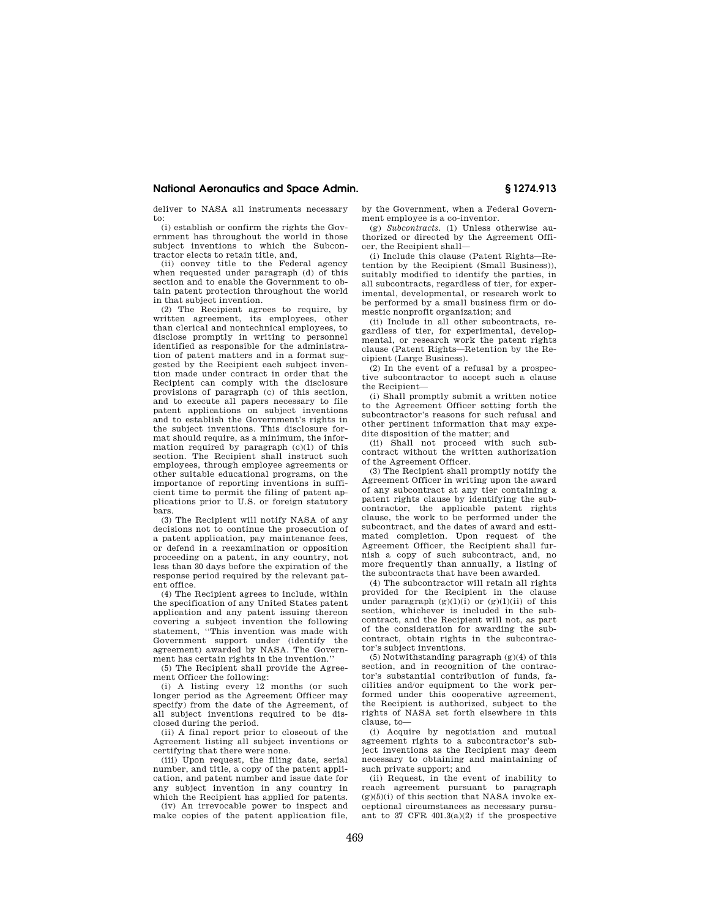## **National Aeronautics and Space Admin. § 1274.913**

deliver to NASA all instruments necessary to: (i) establish or confirm the rights the Gov-

ernment has throughout the world in those subject inventions to which the Subcontractor elects to retain title, and,

(ii) convey title to the Federal agency when requested under paragraph (d) of this section and to enable the Government to obtain patent protection throughout the world in that subject invention.

(2) The Recipient agrees to require, by written agreement, its employees, other than clerical and nontechnical employees, to disclose promptly in writing to personnel identified as responsible for the administration of patent matters and in a format suggested by the Recipient each subject invention made under contract in order that the Recipient can comply with the disclosure provisions of paragraph (c) of this section, and to execute all papers necessary to file patent applications on subject inventions and to establish the Government's rights in the subject inventions. This disclosure format should require, as a minimum, the information required by paragraph (c)(1) of this section. The Recipient shall instruct such employees, through employee agreements or other suitable educational programs, on the importance of reporting inventions in sufficient time to permit the filing of patent applications prior to U.S. or foreign statutory bars.

(3) The Recipient will notify NASA of any decisions not to continue the prosecution of a patent application, pay maintenance fees, or defend in a reexamination or opposition proceeding on a patent, in any country, not less than 30 days before the expiration of the response period required by the relevant patent office.

(4) The Recipient agrees to include, within the specification of any United States patent application and any patent issuing thereon covering a subject invention the following statement, ''This invention was made with Government support under (identify the agreement) awarded by NASA. The Government has certain rights in the invention.''

(5) The Recipient shall provide the Agreement Officer the following:

(i) A listing every 12 months (or such longer period as the Agreement Officer may specify) from the date of the Agreement, of all subject inventions required to be disclosed during the period.

(ii) A final report prior to closeout of the Agreement listing all subject inventions or certifying that there were none.

(iii) Upon request, the filing date, serial number, and title, a copy of the patent application, and patent number and issue date for any subject invention in any country in which the Recipient has applied for patents.

(iv) An irrevocable power to inspect and make copies of the patent application file, by the Government, when a Federal Government employee is a co-inventor.

(g) *Subcontracts.* (1) Unless otherwise authorized or directed by the Agreement Officer, the Recipient shall—

(i) Include this clause (Patent Rights—Retention by the Recipient (Small Business)), suitably modified to identify the parties, in all subcontracts, regardless of tier, for experimental, developmental, or research work to be performed by a small business firm or domestic nonprofit organization; and

(ii) Include in all other subcontracts, regardless of tier, for experimental, developmental, or research work the patent rights clause (Patent Rights—Retention by the Recipient (Large Business).

(2) In the event of a refusal by a prospective subcontractor to accept such a clause the Recipient-

(i) Shall promptly submit a written notice to the Agreement Officer setting forth the subcontractor's reasons for such refusal and other pertinent information that may expedite disposition of the matter; and

(ii) Shall not proceed with such subcontract without the written authorization of the Agreement Officer.

(3) The Recipient shall promptly notify the Agreement Officer in writing upon the award of any subcontract at any tier containing a patent rights clause by identifying the subcontractor, the applicable patent rights clause, the work to be performed under the subcontract, and the dates of award and estimated completion. Upon request of the Agreement Officer, the Recipient shall furnish a copy of such subcontract, and, no more frequently than annually, a listing of the subcontracts that have been awarded.

(4) The subcontractor will retain all rights provided for the Recipient in the clause under paragraph  $(g)(1)(i)$  or  $(g)(1)(ii)$  of this section, whichever is included in the subcontract, and the Recipient will not, as part of the consideration for awarding the subcontract, obtain rights in the subcontractor's subject inventions.

(5) Notwithstanding paragraph (g)(4) of this section, and in recognition of the contractor's substantial contribution of funds, facilities and/or equipment to the work performed under this cooperative agreement, the Recipient is authorized, subject to the rights of NASA set forth elsewhere in this clause, to—

(i) Acquire by negotiation and mutual agreement rights to a subcontractor's subject inventions as the Recipient may deem necessary to obtaining and maintaining of such private support; and

(ii) Request, in the event of inability to reach agreement pursuant to paragraph  $(g)(5)(i)$  of this section that NASA invoke exceptional circumstances as necessary pursuant to 37 CFR 401.3(a)(2) if the prospective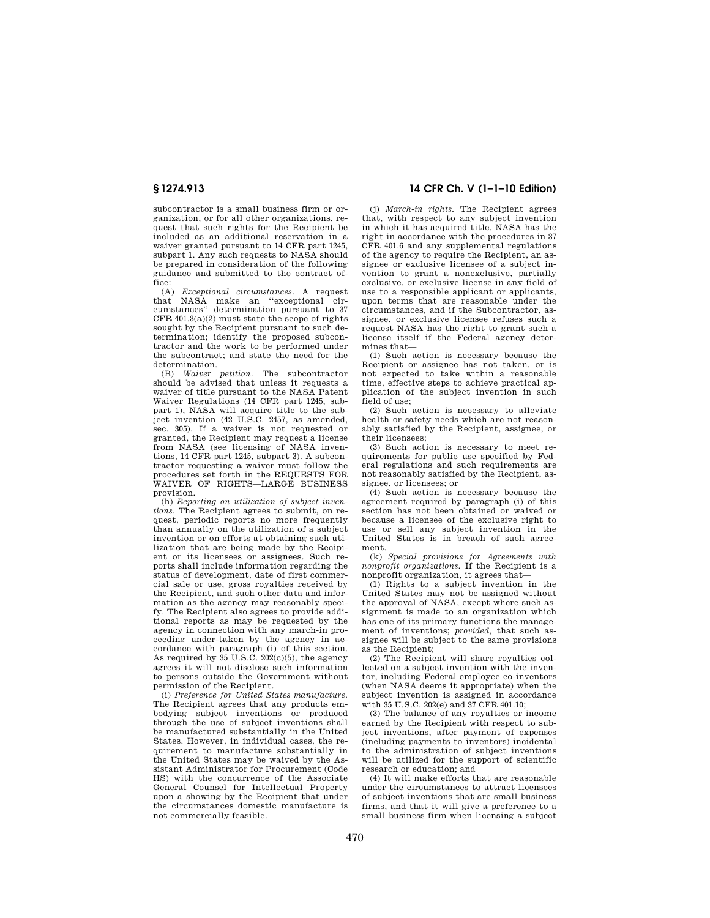subcontractor is a small business firm or organization, or for all other organizations, request that such rights for the Recipient be included as an additional reservation in a waiver granted pursuant to 14 CFR part 1245, subpart 1. Any such requests to NASA should be prepared in consideration of the following guidance and submitted to the contract office:

(A) *Exceptional circumstances.* A request that NASA make an ''exceptional cir-cumstances'' determination pursuant to 37 CFR  $401.3(a)(2)$  must state the scope of rights sought by the Recipient pursuant to such determination; identify the proposed subcontractor and the work to be performed under the subcontract; and state the need for the determination.

(B) *Waiver petition.* The subcontractor should be advised that unless it requests a waiver of title pursuant to the NASA Patent Waiver Regulations (14 CFR part 1245, subpart 1), NASA will acquire title to the subject invention (42 U.S.C. 2457, as amended, sec. 305). If a waiver is not requested or granted, the Recipient may request a license from NASA (see licensing of NASA inventions, 14 CFR part 1245, subpart 3). A subcontractor requesting a waiver must follow the procedures set forth in the REQUESTS FOR WAIVER OF RIGHTS—LARGE BUSINESS provision.

(h) *Reporting on utilization of subject inventions.* The Recipient agrees to submit, on request, periodic reports no more frequently than annually on the utilization of a subject invention or on efforts at obtaining such utilization that are being made by the Recipient or its licensees or assignees. Such reports shall include information regarding the status of development, date of first commercial sale or use, gross royalties received by the Recipient, and such other data and information as the agency may reasonably specify. The Recipient also agrees to provide additional reports as may be requested by the agency in connection with any march-in proceeding under-taken by the agency in accordance with paragraph (i) of this section. As required by  $35 \text{ U.S. C. } 202 \text{ (c)}(5)$ , the agency agrees it will not disclose such information to persons outside the Government without permission of the Recipient.

(i) *Preference for United States manufacture.*  The Recipient agrees that any products embodying subject inventions or produced through the use of subject inventions shall be manufactured substantially in the United States. However, in individual cases, the requirement to manufacture substantially in the United States may be waived by the Assistant Administrator for Procurement (Code HS) with the concurrence of the Associate General Counsel for Intellectual Property upon a showing by the Recipient that under the circumstances domestic manufacture is not commercially feasible.

# **§ 1274.913 14 CFR Ch. V (1–1–10 Edition)**

(j) *March-in rights.* The Recipient agrees that, with respect to any subject invention in which it has acquired title, NASA has the right in accordance with the procedures in 37 CFR 401.6 and any supplemental regulations of the agency to require the Recipient, an assignee or exclusive licensee of a subject invention to grant a nonexclusive, partially exclusive, or exclusive license in any field of use to a responsible applicant or applicants, upon terms that are reasonable under the circumstances, and if the Subcontractor, assignee, or exclusive licensee refuses such a request NASA has the right to grant such a license itself if the Federal agency determines that—

(1) Such action is necessary because the Recipient or assignee has not taken, or is not expected to take within a reasonable time, effective steps to achieve practical application of the subject invention in such field of use;

(2) Such action is necessary to alleviate health or safety needs which are not reasonably satisfied by the Recipient, assignee, or their licensees;

(3) Such action is necessary to meet requirements for public use specified by Federal regulations and such requirements are not reasonably satisfied by the Recipient, assignee, or licensees; or

(4) Such action is necessary because the agreement required by paragraph (i) of this section has not been obtained or waived or because a licensee of the exclusive right to use or sell any subject invention in the United States is in breach of such agreement.

(k) *Special provisions for Agreements with nonprofit organizations.* If the Recipient is a nonprofit organization, it agrees that—

(1) Rights to a subject invention in the United States may not be assigned without the approval of NASA, except where such assignment is made to an organization which has one of its primary functions the management of inventions; *provided,* that such assignee will be subject to the same provisions as the Recipient;

(2) The Recipient will share royalties collected on a subject invention with the inventor, including Federal employee co-inventors (when NASA deems it appropriate) when the subject invention is assigned in accordance with 35 U.S.C. 202(e) and 37 CFR 401.10;

(3) The balance of any royalties or income earned by the Recipient with respect to subject inventions, after payment of expenses (including payments to inventors) incidental to the administration of subject inventions will be utilized for the support of scientific research or education; and

(4) It will make efforts that are reasonable under the circumstances to attract licensees of subject inventions that are small business firms, and that it will give a preference to a small business firm when licensing a subject